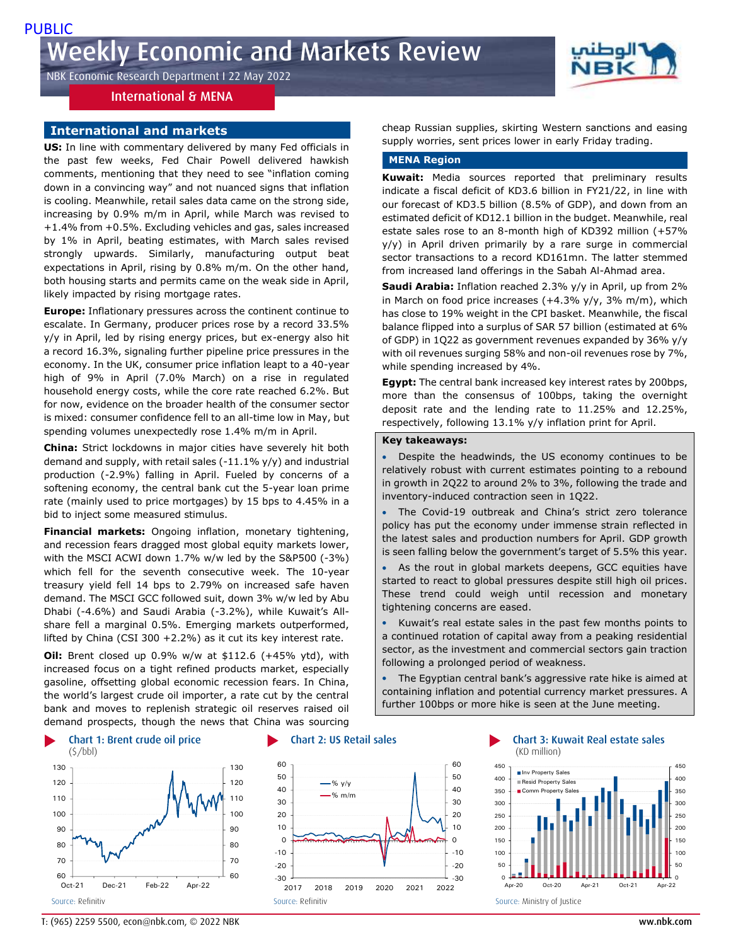NBK Economic Research Department I 22 May 2022

# International & MENA

# **International and markets**

**US:** In line with commentary delivered by many Fed officials in the past few weeks, Fed Chair Powell delivered hawkish comments, mentioning that they need to see "inflation coming down in a convincing way" and not nuanced signs that inflation is cooling. Meanwhile, retail sales data came on the strong side, increasing by 0.9% m/m in April, while March was revised to +1.4% from +0.5%. Excluding vehicles and gas, sales increased by 1% in April, beating estimates, with March sales revised strongly upwards. Similarly, manufacturing output beat expectations in April, rising by 0.8% m/m. On the other hand, both housing starts and permits came on the weak side in April, likely impacted by rising mortgage rates.

**Europe:** Inflationary pressures across the continent continue to escalate. In Germany, producer prices rose by a record 33.5% y/y in April, led by rising energy prices, but ex-energy also hit a record 16.3%, signaling further pipeline price pressures in the economy. In the UK, consumer price inflation leapt to a 40-year high of 9% in April (7.0% March) on a rise in regulated household energy costs, while the core rate reached 6.2%. But for now, evidence on the broader health of the consumer sector is mixed: consumer confidence fell to an all-time low in May, but spending volumes unexpectedly rose 1.4% m/m in April.

**China:** Strict lockdowns in major cities have severely hit both demand and supply, with retail sales  $(-11.1\%$  y/y) and industrial production (-2.9%) falling in April. Fueled by concerns of a softening economy, the central bank cut the 5-year loan prime rate (mainly used to price mortgages) by 15 bps to 4.45% in a bid to inject some measured stimulus.

**Financial markets:** Ongoing inflation, monetary tightening, and recession fears dragged most global equity markets lower, with the MSCI ACWI down 1.7% w/w led by the S&P500 (-3%) which fell for the seventh consecutive week. The 10-year treasury yield fell 14 bps to 2.79% on increased safe haven demand. The MSCI GCC followed suit, down 3% w/w led by Abu Dhabi (-4.6%) and Saudi Arabia (-3.2%), while Kuwait's Allshare fell a marginal 0.5%. Emerging markets outperformed, lifted by China (CSI 300  $+2.2\%$ ) as it cut its key interest rate.

**Oil:** Brent closed up 0.9% w/w at \$112.6 (+45% ytd), with increased focus on a tight refined products market, especially gasoline, offsetting global economic recession fears. In China, the world's largest crude oil importer, a rate cut by the central bank and moves to replenish strategic oil reserves raised oil demand prospects, though the news that China was sourcing







cheap Russian supplies, skirting Western sanctions and easing supply worries, sent prices lower in early Friday trading.

# **MENA Region**

**Kuwait:** Media sources reported that preliminary results indicate a fiscal deficit of KD3.6 billion in FY21/22, in line with our forecast of KD3.5 billion (8.5% of GDP), and down from an estimated deficit of KD12.1 billion in the budget. Meanwhile, real estate sales rose to an 8-month high of KD392 million (+57% y/y) in April driven primarily by a rare surge in commercial sector transactions to a record KD161mn. The latter stemmed from increased land offerings in the Sabah Al-Ahmad area.

**Saudi Arabia:** Inflation reached 2.3% y/y in April, up from 2% in March on food price increases  $(+4.3\%$  y/y, 3% m/m), which has close to 19% weight in the CPI basket. Meanwhile, the fiscal balance flipped into a surplus of SAR 57 billion (estimated at 6% of GDP) in 1Q22 as government revenues expanded by 36% y/y with oil revenues surging 58% and non-oil revenues rose by 7%, while spending increased by 4%.

**Egypt:** The central bank increased key interest rates by 200bps, more than the consensus of 100bps, taking the overnight deposit rate and the lending rate to 11.25% and 12.25%, respectively, following 13.1% y/y inflation print for April.

### **Key takeaways:**

 Despite the headwinds, the US economy continues to be relatively robust with current estimates pointing to a rebound in growth in 2Q22 to around 2% to 3%, following the trade and inventory-induced contraction seen in 1Q22.

- The Covid-19 outbreak and China's strict zero tolerance policy has put the economy under immense strain reflected in the latest sales and production numbers for April. GDP growth is seen falling below the government's target of 5.5% this year.
- As the rout in global markets deepens, GCC equities have started to react to global pressures despite still high oil prices. These trend could weigh until recession and monetary tightening concerns are eased.
- Kuwait's real estate sales in the past few months points to a continued rotation of capital away from a peaking residential sector, as the investment and commercial sectors gain traction following a prolonged period of weakness.

 The Egyptian central bank's aggressive rate hike is aimed at containing inflation and potential currency market pressures. A further 100bps or more hike is seen at the June meeting.